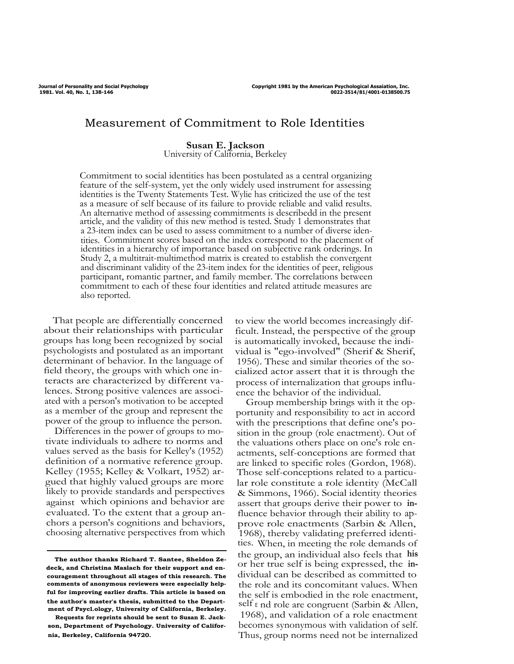# Measurement of Commitment to Role Identities

# **Susan E. Jackson**

University of California, Berkeley

Commitment to social identities has been postulated as a central organizing feature of the self-system, yet the only widely used instrument for assessing identities is the Twenty Statements Test. Wylie has criticized the use of the test as a measure of self because of its failure to provide reliable and valid results. An alternative method of assessing commitments is describedd in the present article, and the validity of this new method is tested. Study 1 demonstrates that a 23-item index can be used to assess commitment to a number of diverse identities. Commitment scores based on the index correspond to the placement of identities in a hierarchy of importance based on subjective rank orderings. In Study 2, a multitrait-multimethod matrix is created to establish the convergent and discriminant validity of the 23-item index for the identities of peer, religious participant, romantic partner, and family member. The correlations between commitment to each of these four identities and related attitude measures are also reported.

That people are differentially concerned about their relationships with particular groups has long been recognized by social psychologists and postulated as an important determinant of behavior. In the language of field theory, the groups with which one interacts are characterized by different valences. Strong positive valences are associated with a person's motivation to be accepted as a member of the group and represent the power of the group to influence the person.

Differences in the power of groups to motivate individuals to adhere to norms and values served as the basis for Kelley's (1952) definition of a normative reference group. Kelley (1955; Kelley & Volkart, 1952) argued that highly valued groups are more likely to provide standards and perspectives against which opinions and behavior are evaluated. To the extent that a group anchors a person's cognitions and behaviors, choosing alternative perspectives from which

**Requests for reprints should be sent to Susan E. Jackson, Department of Psychology. University of California, Berkeley, California 94720.**

to view the world becomes increasingly difficult. Instead, the perspective of the group is automatically invoked, because the individual is "ego-involved" (Sherif & Sherif, 1956). These and similar theories of the socialized actor assert that it is through the process of internalization that groups influence the behavior of the individual.

Group membership brings with it the opportunity and responsibility to act in accord with the prescriptions that define one's position in the group (role enactment). Out of the valuations others place on one's role enactments, self-conceptions are formed that are linked to specific roles (Gordon, 1968). Those self-conceptions related to a particular role constitute a role identity (McCall & Simmons, 1966). Social identity theories assert that groups derive their power to **in**fluence behavior through their ability to approve role enactments (Sarbin & Allen, 1968), thereby validating preferred identities. When, in meeting the role demands of the group, an individual also feels that **his** or her true self is being expressed, the **in**dividual can be described as committed to the role and its concomitant values. When the self is embodied in the role enactment, self  $\epsilon$  nd role are congruent (Sarbin & Allen, 1968), and validation of a role enactment becomes synonymous with validation of self. Thus, group norms need not be internalized

**The author thanks Richard T. Santee, Sheldon Zedeck, and Christina Maslach for their support and encouragement throughout all stages of this research. The comments of anonymous reviewers were especially helpful for improving earlier drafts. This article is based on the author's master's thesis, submitted to the Department of Psycl.ology, University of California, Berkeley.**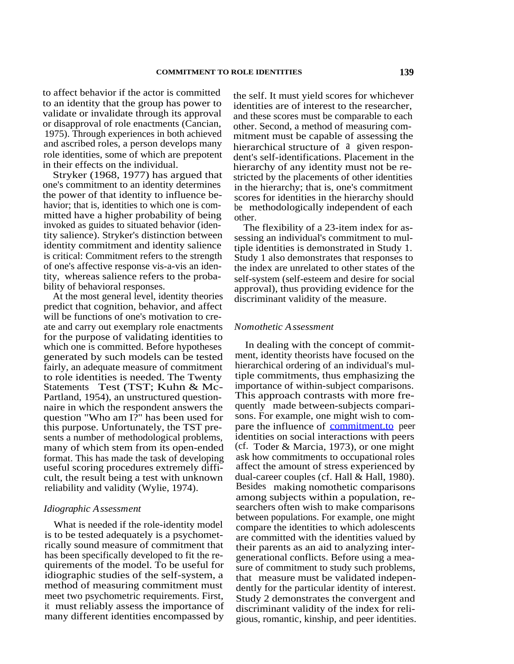to affect behavior if the actor is committed to an identity that the group has power to validate or invalidate through its approval or disapproval of role enactments (Cancian, 1975). Through experiences in both achieved and ascribed roles, a person develops many role identities, some of which are prepotent in their effects on the individual.

Stryker (1968, 1977) has argued that one's commitment to an identity determines the power of that identity to influence behavior; that is, identities to which one is committed have a higher probability of being invoked as guides to situated behavior (identity salience). Stryker's distinction between identity commitment and identity salience is critical: Commitment refers to the strength of one's affective response vis-a-vis an identity, whereas salience refers to the probability of behavioral responses.

At the most general level, identity theories predict that cognition, behavior, and affect will be functions of one's motivation to create and carry out exemplary role enactments for the purpose of validating identities to which one is committed. Before hypotheses generated by such models can be tested fairly, an adequate measure of commitment to role identities is needed. The Twenty Statements Test (TST; Kuhn & Mc-Partland, 1954), an unstructured questionnaire in which the respondent answers the question "Who am I?" has been used for this purpose. Unfortunately, the TST presents a number of methodological problems, many of which stem from its open-ended format. This has made the task of developing useful scoring procedures extremely difficult, the result being a test with unknown reliability and validity (Wylie, 1974).

### *Idiographic Assessment*

What is needed if the role-identity model is to be tested adequately is a psychometrically sound measure of commitment that has been specifically developed to fit the requirements of the model. To be useful for idiographic studies of the self-system, a method of measuring commitment must meet two psychometric requirements. First, it must reliably assess the importance of many different identities encompassed by the self. It must yield scores for whichever identities are of interest to the researcher, and these scores must be comparable to each other. Second, a method of measuring commitment must be capable of assessing the hierarchical structure of a given respondent's self-identifications. Placement in the hierarchy of any identity must not be restricted by the placements of other identities in the hierarchy; that is, one's commitment scores for identities in the hierarchy should be methodologically independent of each other.

The flexibility of a 23-item index for assessing an individual's commitment to multiple identities is demonstrated in Study 1. Study 1 also demonstrates that responses to the index are unrelated to other states of the self-system (self-esteem and desire for social approval), thus providing evidence for the discriminant validity of the measure.

### *Nomothetic Assessment*

In dealing with the concept of commitment, identity theorists have focused on the hierarchical ordering of an individual's multiple commitments, thus emphasizing the importance of within-subject comparisons. This approach contrasts with more frequently made between-subjects comparisons. For example, one might wish to compare the influence of [commitment.to](http://commitment.to) peer identities on social interactions with peers (cf. Toder & Marcia, 1973), or one might ask how commitments to occupational roles affect the amount of stress experienced by dual-career couples (cf. Hall & Hall, 1980). Besides making nomothetic comparisons among subjects within a population, researchers often wish to make comparisons between populations. For example, one might compare the identities to which adolescents are committed with the identities valued by their parents as an aid to analyzing intergenerational conflicts. Before using a measure of commitment to study such problems, that measure must be validated independently for the particular identity of interest. Study 2 demonstrates the convergent and discriminant validity of the index for religious, romantic, kinship, and peer identities.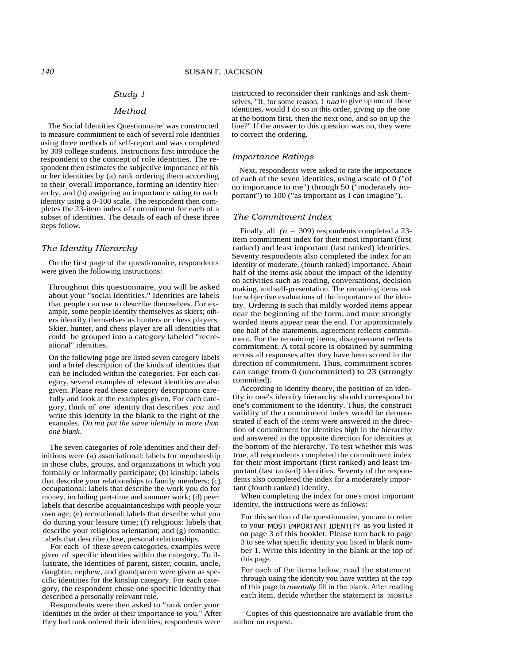# *Study 1*

### *Method*

The Social Identities Questionnaire' was constructed to measure commitment to each of several role identities using three methods of self-report and was completed by 309 college students. Instructions first introduce the respondent to the concept of role identities. The respondent then estimates the subjective importance of his or her identities by (a) rank ordering them according to their overall importance, forming an identity hierarchy, and (b) assigning an importance rating to each identity using a 0-100 scale. The respondent then completes the 23-item index of commitment for each of a subset of identities. The details of each of these three steps follow.

### *The Identity Hierarchy*

On the first page of the questionnaire, respondents were given the following instructions:

Throughout this questionnaire, you will be asked about your "social identities." Identities are labels that people can use to describe themselves. For example, some people identify themselves as skiers; others identify themselves as hunters or chess players. Skier, hunter, and chess player are all identities that could be grouped into a category labeled "recreational" identities.

On the following page are listed seven category labels and a brief description of the kinds of identities that can be included within the categories. For each category, several examples of relevant identities are also given. Please read these category descriptions carefully and look at the examples given. For each category, think of one identity that describes *you* and write this identity in the blank to the right of the examples. *Do not put the same identity in more than one blank.*

The seven categories of role identities and their definitions were (a) associational: labels for membership in those clubs, groups, and organizations in which you formally or informally participate; (b) kinship: labels that describe your relationships to family members; (c) occupational: labels that describe the work you do for money, including part-time and summer work; (d) peer: labels that describe acquaintanceships with people your own age; (e) recreational: labels that describe what you do during your leisure time; (f) religious: labels that describe your religious orientation; and (g) romantic: labels that describe close, personal relationships.

For each of these seven categories, examples were given of specific identities within the category. To illustrate, the identities of parent, sister, cousin, uncle, daughter, nephew, and grandparent were given as specific identities for the kinship category. For each category, the respondent chose one specific identity that described a personally relevant role.

Respondents were then asked to "rank order your identities in the order of their importance to you." After they had rank ordered their identities, respondents were

instructed to reconsider their rankings and ask themselves, "If, for some reason, I had to give up one of these identities, would I do so in this order, giving up the one at the bottom first, then the next one, and so on up the line?" If the answer to this question was no, they were to correct the ordering.

#### *Importance Ratings*

Next, respondents were asked to rate the importance of each of the seven identities, using a scale of 0 ("of no importance to me") through 50 ("moderately important") to 100 ("as important as I can imagine").

### *The Commitment Index*

Finally, all *(n =* 309) respondents completed a 23 item commitment index for their most important (first ranked) and least important (last ranked) identities. Seventy respondents also completed the index for an identity of moderate. (fourth ranked) importance. About half of the items ask about the impact of the identity on activities such as reading, conversations, decision making, and self-presentation. The remaining items ask for subjective evaluations of the importance of the identity. Ordering is such that mildly worded items appear near the beginning of the form, and more strongly worded items appear near the end. For approximately one half of the statements, agreement reflects commitment. For the remaining items, disagreement reflects commitment. A total score is obtained by summing across all responses after they have been scored in the direction of commitment. Thus, commitment scores can range from 0 (uncommitted) to 23 (strongly committed).

According to identity theory, the position of an identity in one's identity hierarchy should correspond to one's commitment to the identity. Thus, the construct validity of the commitment index would be demonstrated if each of the items were answered in the direction of commitment for identities high in the hierarchy and answered in the opposite direction for identities at the bottom of the hierarchy. To test whether this was true, all respondents completed the commitment index for their most important (first ranked) and least important (last ranked) identities. Seventy of the respondents also completed the index for a moderately important (fourth ranked) identity.

When completing the index for one's most important identity, the instructions were as follows:

For this section of the questionnaire, you are to refer to your MOST IMPORTANT IDENTITY as you listed it on page 3 of this booklet. Please turn back to page 3 to see what specific identity you listed in blank number 1. Write this identity in the blank at the top of this page.

For each of the items below, read the statement through using the identity you have written at the top of this page to mentally fill in the blank. After reading each item, decide whether the statement is MOSTLY

 Copies of this questionnaire are available from the author on request.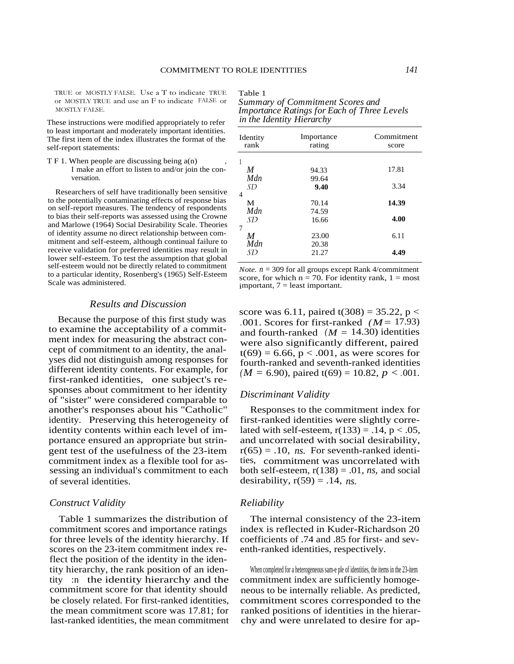TRUE or MOSTLY FALSE. Use a T to indicate TRUE or MOSTLY TRUE and use an F to indicate FALSE or MOSTI V FALSE.

These instructions were modified appropriately to refer to least important and moderately important identities. The first item of the index illustrates the format of the self-report statements:

 $T F 1$ . When people are discussing being  $a(n)$ I make an effort to listen to and/or join the conversation.

Researchers of self have traditionally been sensitive to the potentially contaminating effects of response bias on self-report measures. The tendency of respondents to bias their self-reports was assessed using the Crowne and Marlowe (1964) Social Desirability Scale. Theories of identity assume no direct relationship between commitment and self-esteem, although continual failure to receive validation for preferred identities may result in lower self-esteem. To test the assumption that global self-esteem would not be directly related to commitment to a particular identity, Rosenberg's (1965) Self-Esteem Scale was administered.

### *Results and Discussion*

Because the purpose of this first study was to examine the acceptability of a commitment index for measuring the abstract concept of commitment to an identity, the analyses did not distinguish among responses for different identity contents. For example, for first-ranked identities, one subject's responses about commitment to her identity of "sister" were considered comparable to another's responses about his "Catholic" identity. Preserving this heterogeneity of identity contents within each level of importance ensured an appropriate but stringent test of the usefulness of the 23-item commitment index as a flexible tool for assessing an individual's commitment to each of several identities.

### *Construct Validity*

Table 1 summarizes the distribution of commitment scores and importance ratings for three levels of the identity hierarchy. If scores on the 23-item commitment index reflect the position of the identity in the identity hierarchy, the rank position of an identity :n the identity hierarchy and the commitment score for that identity should be closely related. For first-ranked identities, the mean commitment score was 17.81; for last-ranked identities, the mean commitment

| Table 1                                            |  |
|----------------------------------------------------|--|
| Summary of Commitment Scores and                   |  |
| <b>Importance Ratings for Each of Three Levels</b> |  |
| in the Identity Hierarchy                          |  |

| Identity<br>rank | Importance<br>rating | Commitment<br>score |
|------------------|----------------------|---------------------|
| 1                |                      |                     |
| M                | 94.33                | 17.81               |
| Mdn              | 99.64                |                     |
| SD.              | 9.40                 | 3.34                |
| 4                |                      |                     |
| M                | 70.14                | 14.39               |
| Mdn              | 74.59                |                     |
| SD               | 16.66                | 4.00                |
| 7                |                      |                     |
| M                | 23.00                | 6.11                |
| Mdn              | 20.38                |                     |
| SD               | 21.27                | 4.49                |
|                  |                      |                     |

*Note. n =* 309 for all groups except Rank 4/commitment score, for which  $n = 70$ . For identity rank,  $1 = \text{most}$ important,  $7 =$  least important.

score was 6.11, paired  $t(308) = 35.22$ , p < .001. Scores for first-ranked *(M=* 17.93) and fourth-ranked  $(M = 14.30)$  identities were also significantly different, paired  $t(69) = 6.66$ ,  $p < .001$ , as were scores for fourth-ranked and seventh-ranked identities  $(M = 6.90)$ , paired t(69) = 10.82,  $p < .001$ .

### *Discriminant Validity*

Responses to the commitment index for first-ranked identities were slightly correlated with self-esteem,  $r(133) = .14$ ,  $p < .05$ , and uncorrelated with social desirability,  $r(65) = .10$ , *ns.* For seventh-ranked identities, commitment was uncorrelated with both self-esteem,  $r(138) = .01$ , *ns*, and social desirability,  $r(59) = .14$ , *ns.* 

### *Reliability*

The internal consistency of the 23-item index is reflected in Kuder-Richardson 20 coefficients of .74 and .85 for first- and seventh-ranked identities, respectively.

When completed for a heterogeneous sam-e ple of identities, the items in the 23-item commitment index are sufficiently homogeneous to be internally reliable. As predicted, commitment scores corresponded to the ranked positions of identities in the hierarchy and were unrelated to desire for ap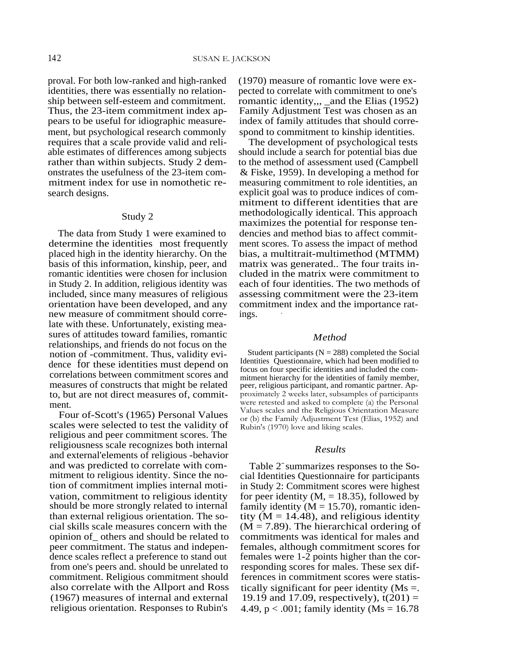proval. For both low-ranked and high-ranked identities, there was essentially no relationship between self-esteem and commitment. Thus, the 23-item commitment index appears to be useful for idiographic measurement, but psychological research commonly requires that a scale provide valid and reliable estimates of differences among subjects rather than within subjects. Study 2 demonstrates the usefulness of the 23-item commitment index for use in nomothetic research designs.

### Study 2

The data from Study 1 were examined to determine the identities most frequently placed high in the identity hierarchy. On the basis of this information, kinship, peer, and romantic identities were chosen for inclusion in Study 2. In addition, religious identity was included, since many measures of religious orientation have been developed, and any new measure of commitment should correlate with these. Unfortunately, existing measures of attitudes toward families, romantic relationships, and friends do not focus on the notion of -commitment. Thus, validity evidence for these identities must depend on correlations between commitment scores and measures of constructs that might be related to, but are not direct measures of, commitment.

Four of-Scott's (1965) Personal Values scales were selected to test the validity of religious and peer commitment scores. The religiousness scale recognizes both internal and external'elements of religious -behavior and was predicted to correlate with commitment to religious identity. Since the notion of commitment implies internal motivation, commitment to religious identity should be more strongly related to internal than external religious orientation. The social skills scale measures concern with the opinion of\_ others and should be related to peer commitment. The status and independence scales reflect a preference to stand out from one's peers and. should be unrelated to commitment. Religious commitment should also correlate with the Allport and Ross (1967) measures of internal and external religious orientation. Responses to Rubin's

(1970) measure of romantic love were expected to correlate with commitment to one's romantic identity,,, \_and the Elias (1952) Family Adjustment Test was chosen as an index of family attitudes that should correspond to commitment to kinship identities.

The development of psychological tests should include a search for potential bias due to the method of assessment used (Campbell & Fiske, 1959). In developing a method for measuring commitment to role identities, an explicit goal was to produce indices of commitment to different identities that are methodologically identical. This approach maximizes the potential for response tendencies and method bias to affect commitment scores. To assess the impact of method bias, a multitrait-multimethod (MTMM) matrix was generated.. The four traits included in the matrix were commitment to each of four identities. The two methods of assessing commitment were the 23-item commitment index and the importance ratings.

#### *Method*

Student participants ( $N = 288$ ) completed the Social Identities Questionnaire, which had been modified to focus on four specific identities and included the commitment hierarchy for the identities of family member, peer, religious participant, and romantic partner. Approximately 2 weeks later, subsamples of participants were retested and asked to complete (a) the Personal Values scales and the Religious Orientation Measure or (b) the Family Adjustment Test (Elias, 1952) and Rubin's (1970) love and liking scales.

### *Results*

Table 2<sup>-</sup> summarizes responses to the Social Identities Questionnaire for participants in Study 2: Commitment scores were highest for peer identity  $(M, = 18.35)$ , followed by family identity ( $M = 15.70$ ), romantic identity ( $M = 14.48$ ), and religious identity  $(M = 7.89)$ . The hierarchical ordering of commitments was identical for males and females, although commitment scores for females were 1-2 points higher than the corresponding scores for males. These sex differences in commitment scores were statistically significant for peer identity ( $Ms =$ . 19.19 and 17.09, respectively),  $t(201) =$ 4.49,  $p < .001$ ; family identity (Ms = 16.78)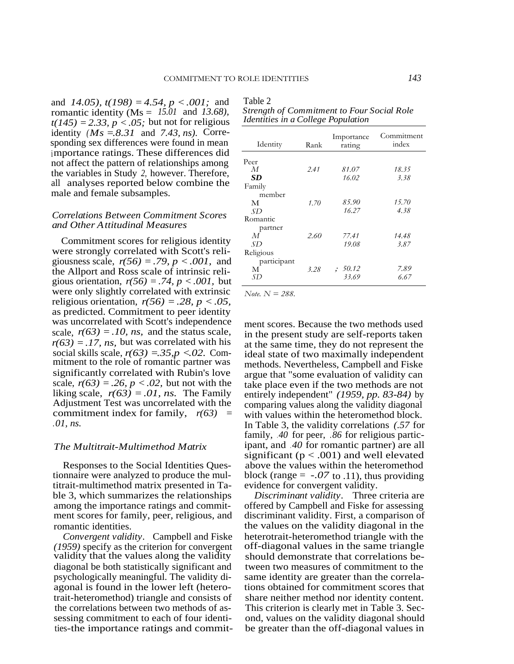## *Correlations Between Commitment Scores and Other Attitudinal Measures*

Commitment scores for religious identity were strongly correlated with Scott's religiousness scale,  $r(56) = .79$ ,  $p < .001$ , and the Allport and Ross scale of intrinsic religious orientation,  $r(56) = .74$ ,  $p < .001$ , but were only slightly correlated with extrinsic religious orientation,  $r(56) = .28$ ,  $p < .05$ , as predicted. Commitment to peer identity was uncorrelated with Scott's independence scale,  $r(63) = .10$ , *ns*, and the status scale,  $r(63) = .17$ , *ns*, but was correlated with his social skills scale,  $r(63) = 35$ ,  $p < 02$ . Commitment to the role of romantic partner was significantly correlated with Rubin's love scale,  $r(63) = .26$ ,  $p < .02$ , but not with the liking scale,  $r(63) = .01$ , *ns*. The Family Adjustment Test was uncorrelated with the commitment index for family, *r(63) = .01, ns.*

### *The Multitrait-Multimethod Matrix*

Responses to the Social Identities Questionnaire were analyzed to produce the multitrait-multimethod matrix presented in Table 3, which summarizes the relationships among the importance ratings and commitment scores for family, peer, religious, and romantic identities.

*Convergent validity.* Campbell and Fiske *(1959)* specify as the criterion for convergent validity that the values along the validity diagonal be both statistically significant and psychologically meaningful. The validity diagonal is found in the lower left (heterotrait-heteromethod) triangle and consists of the correlations between two methods of assessing commitment to each of four identities-the importance ratings and commit-

| $1$ ave $2$                                       |  |
|---------------------------------------------------|--|
| <b>Strength of Commitment to Four Social Role</b> |  |
| <i>Identities in a College Population</i>         |  |

| COMMITMENT TO ROLE IDENTITIES                                                                                                                                                          |                                                                                                    |      |                      | 143                 |
|----------------------------------------------------------------------------------------------------------------------------------------------------------------------------------------|----------------------------------------------------------------------------------------------------|------|----------------------|---------------------|
| and 14.05), $t(198) = 4.54$ , $p < .001$ ; and<br>romantic identity ( $Ms = 15.01$ and 13.68),<br>$t(145) = 2.33$ , $p < .05$ ; but not for religious                                  | Table 2<br><b>Strength of Commitment to Four Social Role</b><br>Identities in a College Population |      |                      |                     |
| identity $(Ms = 8.31$ and 7.43, ns). Corre-<br>sponding sex differences were found in mean                                                                                             | Identity                                                                                           | Rank | Importance<br>rating | Commitment<br>index |
| importance ratings. These differences did<br>not affect the pattern of relationships among<br>the variables in Study 2, however. Therefore,<br>all analyses reported below combine the | Peer<br>М<br><b>SD</b><br>Family                                                                   | 2.41 | 81.07<br>16.02       | 18.35<br>3.38       |
| male and female subsamples.<br><b>Correlations Between Commitment Scores</b>                                                                                                           | member<br>М<br>SD.                                                                                 | 1.70 | 85.90<br>16.27       | 15.70<br>4.38       |
| and Other A ttitudinal Measures<br>Commitment scores for religious identity                                                                                                            | Romantic<br>partner<br>М                                                                           | 2.60 | 77.41                | 14.48               |
| were strongly correlated with Scott's reli-<br>giousness scale, $r(56) = .79$ , $p < .001$ , and<br>the Allport and Ross scale of intrinsic reli-                                      | SD<br>Religious<br>participant<br>М                                                                | 3.28 | 19.08<br>$\,; 50.12$ | 3.87<br>7.89        |
|                                                                                                                                                                                        | SD                                                                                                 |      | 33.69                | 6.67                |

*Note. N = 288.*

ment scores. Because the two methods used in the present study are self-reports taken at the same time, they do not represent the ideal state of two maximally independent methods. Nevertheless, Campbell and Fiske argue that "some evaluation of validity can take place even if the two methods are not entirely independent" *(1959, pp. 83-84)* by comparing values along the validity diagonal with values within the heteromethod block. In Table 3, the validity correlations *(.57* for family, *. 40* for peer, *.86* for religious participant, and *. 40* for romantic partner) are all significant ( $p < .001$ ) and well elevated above the values within the heteromethod block (range  $= -07$  to .11), thus providing evidence for convergent validity.

*Discriminant validity.* Three criteria are offered by Campbell and Fiske for assessing discriminant validity. First, a comparison of the values on the validity diagonal in the heterotrait-heteromethod triangle with the off-diagonal values in the same triangle should demonstrate that correlations between two measures of commitment to the same identity are greater than the correlations obtained for commitment scores that share neither method nor identity content. This criterion is clearly met in Table 3. Second, values on the validity diagonal should be greater than the off-diagonal values in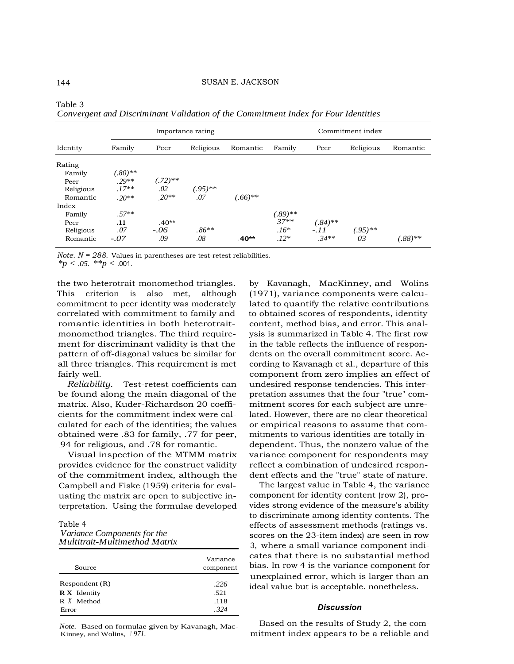### SUSAN E. JACKSON

Table 3 *Convergent and Discriminant Validation of the Commitment Index for Four Identities*

|           | Importance rating |           |            | Commitment index |            |            |            |            |
|-----------|-------------------|-----------|------------|------------------|------------|------------|------------|------------|
| Identity  | Family            | Peer      | Religious  | Romantic         | Family     | Peer       | Religious  | Romantic   |
| Rating    |                   |           |            |                  |            |            |            |            |
| Family    | $(.80)$ **        |           |            |                  |            |            |            |            |
| Peer      | $.29**$           | $(.72)**$ |            |                  |            |            |            |            |
| Religious | $.17**$           | .02       | $(.95)$ ** |                  |            |            |            |            |
| Romantic  | $.20**$           | $20**$    | .07        | $(.66)$ **       |            |            |            |            |
| Index     |                   |           |            |                  |            |            |            |            |
| Family    | $.57**$           |           |            |                  | $(.89)$ ** |            |            |            |
| Peer      | .11               | $.40**$   |            |                  | $37**$     | $(.84)$ ** |            |            |
| Religious | .07               | $-.06$    | $.86**$    |                  | $.16*$     | $-.11$     | $(.95)$ ** |            |
| Romantic  | $-.07$            | .09       | .08        | $.40**$          | $.12*$     | $.34**$    | .03        | $(.88)$ ** |

*Note.*  $N = 288$ . Values in parentheses are test-retest reliabilities.

*\*p < .05. \*\*p <* .001.

the two heterotrait-monomethod triangles. This criterion is also met, although commitment to peer identity was moderately correlated with commitment to family and romantic identities in both heterotraitmonomethod triangles. The third requirement for discriminant validity is that the pattern of off-diagonal values be similar for all three triangles. This requirement is met fairly well.

*Reliability.* Test-retest coefficients can be found along the main diagonal of the matrix. Also, Kuder-Richardson 20 coefficients for the commitment index were calculated for each of the identities; the values obtained were .83 for family, .77 for peer, . 94 for religious, and .78 for romantic.

Visual inspection of the MTMM matrix provides evidence for the construct validity of the commitment index, although the Campbell and Fiske (1959) criteria for evaluating the matrix are open to subjective interpretation. Using the formulae developed

Table 4 *Variance Components for the Multitrait-Multimethod Matrix*

| Source             | Variance<br>component |  |  |
|--------------------|-----------------------|--|--|
| Respondent (R)     | .226                  |  |  |
| <b>RX</b> Identity | .521                  |  |  |
| $R X$ Method       | .118                  |  |  |
| Error              | 324                   |  |  |

by Kavanagh, MacKinney, and Wolins (1971), variance components were calculated to quantify the relative contributions to obtained scores of respondents, identity content, method bias, and error. This analysis is summarized in Table 4. The first row in the table reflects the influence of respondents on the overall commitment score. According to Kavanagh et al., departure of this component from zero implies an effect of undesired response tendencies. This interpretation assumes that the four "true" commitment scores for each subject are unrelated. However, there are no clear theoretical or empirical reasons to assume that commitments to various identities are totally independent. Thus, the nonzero value of the variance component for respondents may reflect a combination of undesired respondent effects and the "true" state of nature.

The largest value in Table 4, the variance component for identity content (row 2), provides strong evidence of the measure's ability to discriminate among identity contents. The effects of assessment methods (ratings vs. scores on the 23-item index) are seen in row 3, where a small variance component indicates that there is no substantial method bias. In row 4 is the variance component for unexplained error, which is larger than an ideal value but is acceptable. nonetheless.

### *Discussion*

*Note.* Based on formulae given by Kavanagh, Mac-Kinney, and Wolins, *<sup>1</sup> 971.*

Based on the results of Study 2, the commitment index appears to be a reliable and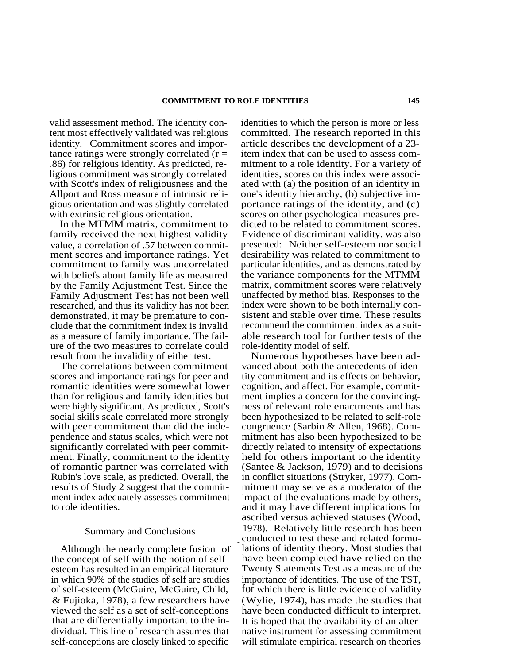valid assessment method. The identity content most effectively validated was religious identity. Commitment scores and importance ratings were strongly correlated  $(r =$ . 86) for religious identity. As predicted, religious commitment was strongly correlated with Scott's index of religiousness and the Allport and Ross measure of intrinsic religious orientation and was slightly correlated with extrinsic religious orientation.

In the MTMM matrix, commitment to family received the next highest validity value, a correlation of .57 between commitment scores and importance ratings. Yet commitment to family was uncorrelated with beliefs about family life as measured by the Family Adjustment Test. Since the Family Adjustment Test has not been well researched, and thus its validity has not been demonstrated, it may be premature to conclude that the commitment index is invalid as a measure of family importance. The failure of the two measures to correlate could result from the invalidity of either test.

The correlations between commitment scores and importance ratings for peer and romantic identities were somewhat lower than for religious and family identities but were highly significant. As predicted, Scott's social skills scale correlated more strongly with peer commitment than did the independence and status scales, which were not significantly correlated with peer commitment. Finally, commitment to the identity of romantic partner was correlated with Rubin's love scale, as predicted. Overall, the results of Study 2 suggest that the commitment index adequately assesses commitment to role identities.

### Summary and Conclusions

Although the nearly complete fusion of the concept of self with the notion of selfesteem has resulted in an empirical literature in which 90% of the studies of self are studies of self-esteem (McGuire, McGuire, Child, & Fujioka, 1978), a few researchers have viewed the self as a set of self-conceptions that are differentially important to the individual. This line of research assumes that self-conceptions are closely linked to specific

identities to which the person is more or less committed. The research reported in this article describes the development of a 23 item index that can be used to assess commitment to a role identity. For a variety of identities, scores on this index were associated with (a) the position of an identity in one's identity hierarchy, (b) subjective importance ratings of the identity, and (c) scores on other psychological measures predicted to be related to commitment scores. Evidence of discriminant validity. was also presented: Neither self-esteem nor social desirability was related to commitment to particular identities, and as demonstrated by the variance components for the MTMM matrix, commitment scores were relatively unaffected by method bias. Responses to the index were shown to be both internally consistent and stable over time. These results recommend the commitment index as a suitable research tool for further tests of the role-identity model of self.

Numerous hypotheses have been advanced about both the antecedents of identity commitment and its effects on behavior, cognition, and affect. For example, commitment implies a concern for the convincingness of relevant role enactments and has been hypothesized to be related to self-role congruence (Sarbin & Allen, 1968). Commitment has also been hypothesized to be directly related to intensity of expectations held for others important to the identity (Santee & Jackson, 1979) and to decisions in conflict situations (Stryker, 1977). Commitment may serve as a moderator of the impact of the evaluations made by others, and it may have different implications for ascribed versus achieved statuses (Wood, 1978). Relatively little research has been conducted to test these and related formulations of identity theory. Most studies that have been completed have relied on the Twenty Statements Test as a measure of the importance of identities. The use of the TST, for which there is little evidence of validity (Wylie, 1974), has made the studies that have been conducted difficult to interpret. It is hoped that the availability of an alternative instrument for assessing commitment will stimulate empirical research on theories